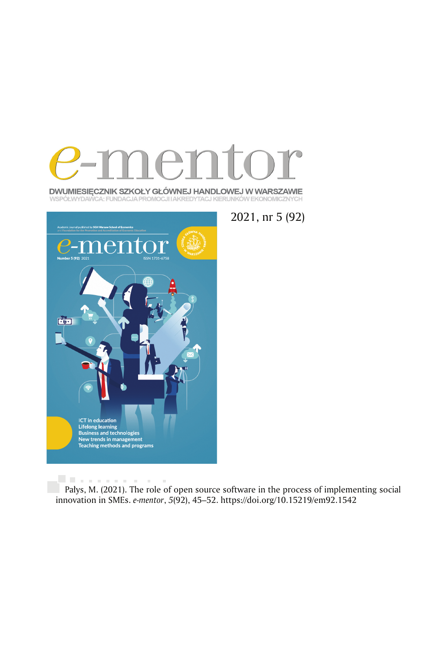

DWUMIESIĘCZNIK SZKOŁY GŁÓWNEJ HANDLOWEJ W WARSZAWIE WSPÓŁWYDAWCA: FUNDACJA PROMOCJI I AKREDYTACJ KIERUNKÓW EKONOMICZNYCH



2021, nr 5 (92)

University of the Pałys, M. (2021). The role of open source software in the process of implementing social innovation in SMEs. *e-mentor*, *5*(92), 45 –52. https://doi.org/10.15219/em92.1542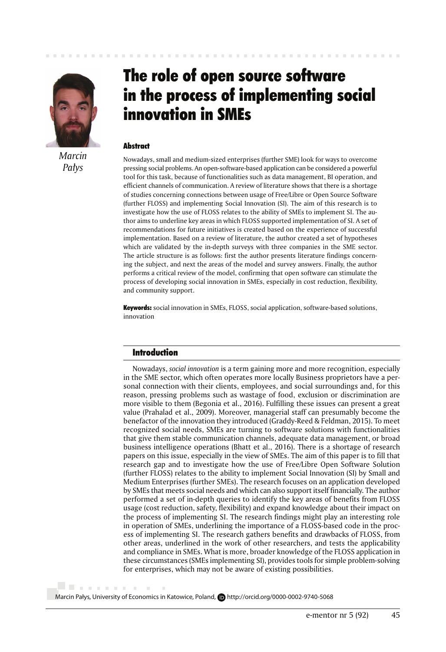

*Marcin Pałys*

# The role of open source software in the process of implementing social innovation in SMEs

#### **Abstract**

Nowadays, small and medium-sized enterprises (further SME) look for ways to overcome pressing social problems. An open-software-based application can be considered a powerful tool for this task, because of functionalities such as data management, BI operation, and efficient channels of communication. A review of literature shows that there is a shortage of studies concerning connections between usage of Free/Libre or Open Source Software (further FLOSS) and implementing Social Innovation (SI). The aim of this research is to investigate how the use of FLOSS relates to the ability of SMEs to implement SI. The author aims to underline key areas in which FLOSS supported implementation of SI. A set of recommendations for future initiatives is created based on the experience of successful implementation. Based on a review of literature, the author created a set of hypotheses which are validated by the in-depth surveys with three companies in the SME sector. The article structure is as follows: first the author presents literature findings concerning the subject, and next the areas of the model and survey answers. Finally, the author performs a critical review of the model, confirming that open software can stimulate the process of developing social innovation in SMEs, especially in cost reduction, flexibility, and community support.

**Keywords:** social innovation in SMEs, FLOSS, social application, software-based solutions, innovation

# Introduction

Nowadays, *social innovation* is a term gaining more and more recognition, especially in the SME sector, which often operates more locally Business proprietors have a personal connection with their clients, employees, and social surroundings and, for this reason, pressing problems such as wastage of food, exclusion or discrimination are more visible to them (Begonia et al., 2016). Fulfilling these issues can present a great value (Prahalad et al., 2009). Moreover, managerial staff can presumably become the benefactor of the innovation they introduced (Graddy-Reed & Feldman, 2015). To meet recognized social needs, SMEs are turning to software solutions with functionalities that give them stable communication channels, adequate data management, or broad business intelligence operations (Bhatt et al., 2016). There is a shortage of research papers on this issue, especially in the view of SMEs. The aim of this paper is to fill that research gap and to investigate how the use of Free/Libre Open Software Solution (further FLOSS) relates to the ability to implement Social Innovation (SI) by Small and Medium Enterprises (further SMEs). The research focuses on an application developed by SMEs that meets social needs and which can also support itself financially. The author performed a set of in-depth queries to identify the key areas of benefits from FLOSS usage (cost reduction, safety, flexibility) and expand knowledge about their impact on the process of implementing SI. The research findings might play an interesting role in operation of SMEs, underlining the importance of a FLOSS-based code in the process of implementing SI. The research gathers benefits and drawbacks of FLOSS, from other areas, underlined in the work of other researchers, and tests the applicability and compliance in SMEs. What is more, broader knowledge of the FLOSS application in these circumstances (SMEs implementing SI), provides tools for simple problem-solving for enterprises, which may not be aware of existing possibilities.

Marcin Pałys, University of Economics in Katowice, Poland, **D**http://orcid.org/0000-0002-9740-5068

. . . . . . . . .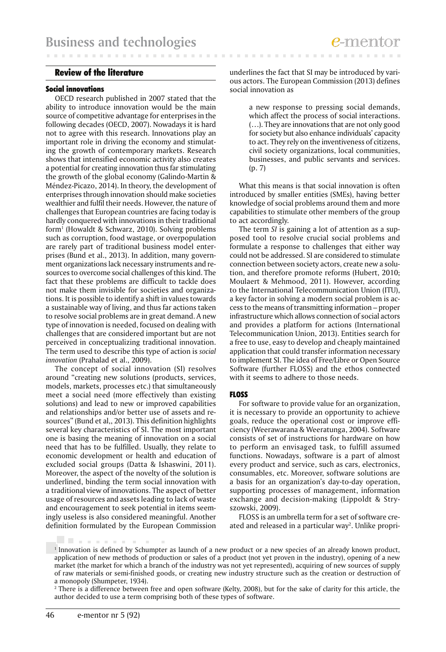**CONTRACTOR** 

#### Review of the literature

#### Social innovations

. . . . . . . .

OECD research published in 2007 stated that the ability to introduce innovation would be the main source of competitive advantage for enterprises in the following decades (OECD, 2007). Nowadays it is hard not to agree with this research. Innovations play an important role in driving the economy and stimulating the growth of contemporary markets. Research shows that intensified economic activity also creates a potential for creating innovation thus far stimulating the growth of the global economy (Galindo-Martin & Méndez-Picazo, 2014). In theory, the development of enterprises through innovation should make societies wealthier and fulfil their needs. However, the nature of challenges that European countries are facing today is hardly conquered with innovations in their traditional form1 (Howaldt & Schwarz, 2010). Solving problems such as corruption, food wastage, or overpopulation are rarely part of traditional business model enterprises (Bund et al., 2013). In addition, many government organizations lack necessary instruments and resources to overcome social challenges of this kind. The fact that these problems are difficult to tackle does not make them invisible for societies and organizations. It is possible to identify a shift in values towards a sustainable way of living, and thus far actions taken to resolve social problems are in great demand. A new type of innovation is needed, focused on dealing with challenges that are considered important but are not perceived in conceptualizing traditional innovation. The term used to describe this type of action is *social innovation* (Prahalad et al., 2009).

The concept of social innovation (SI) resolves around "creating new solutions (products, services, models, markets, processes etc.) that simultaneously meet a social need (more effectively than existing solutions) and lead to new or improved capabilities and relationships and/or better use of assets and resources" (Bund et al,, 2013). This definition highlights several key characteristics of SI. The most important one is basing the meaning of innovation on a social need that has to be fulfilled. Usually, they relate to economic development or health and education of excluded social groups (Datta & Ishaswini, 2011). Moreover, the aspect of the novelty of the solution is underlined, binding the term social innovation with a traditional view of innovations. The aspect of better usage of resources and assets leading to lack of waste and encouragement to seek potential in items seemingly useless is also considered meaningful. Another definition formulated by the European Commission

underlines the fact that SI may be introduced by various actors. The European Commission (2013) defines social innovation as

> a new response to pressing social demands, which affect the process of social interactions. (…). They are innovations that are not only good for society but also enhance individuals' capacity to act. They rely on the inventiveness of citizens, civil society organizations, local communities, businesses, and public servants and services. (p. 7)

What this means is that social innovation is often introduced by smaller entities (SMEs), having better knowledge of social problems around them and more capabilities to stimulate other members of the group to act accordingly.

The term *SI* is gaining a lot of attention as a supposed tool to resolve crucial social problems and formulate a response to challenges that either way could not be addressed. SI are considered to stimulate connection between society actors, create new a solution, and therefore promote reforms (Hubert, 2010; Moulaert & Mehmood, 2011). However, according to the International Telecommunication Union (ITU), a key factor in solving a modern social problem is access to the means of transmitting information – proper infrastructure which allows connection of social actors and provides a platform for actions (International Telecommunication Union, 2013). Entities search for a free to use, easy to develop and cheaply maintained application that could transfer information necessary to implement SI. The idea of Free/Libre or Open Source Software (further FLOSS) and the ethos connected with it seems to adhere to those needs.

#### **FLOSS**

For software to provide value for an organization, it is necessary to provide an opportunity to achieve goals, reduce the operational cost or improve efficiency (Weerawarana & Weeratunga, 2004). Software consists of set of instructions for hardware on how to perform an envisaged task, to fulfill assumed functions. Nowadays, software is a part of almost every product and service, such as cars, electronics, consumables, etc. Moreover, software solutions are a basis for an organization's day-to-day operation, supporting processes of management, information exchange and decision-making (Lippoldt & Stryszowski, 2009).

FLOSS is an umbrella term for a set of software created and released in a particular way<sup>2</sup>. Unlike propri-

li il stato di st

<sup>1</sup> Innovation is defined by Schumpter as launch of a new product or a new species of an already known product, application of new methods of production or sales of a product (not yet proven in the industry), opening of a new market (the market for which a branch of the industry was not yet represented), acquiring of new sources of supply of raw materials or semi-finished goods, or creating new industry structure such as the creation or destruction of a monopoly (Shumpeter, 1934).

<sup>&</sup>lt;sup>2</sup> There is a difference between free and open software (Kelty, 2008), but for the sake of clarity for this article, the author decided to use a term comprising both of these types of software.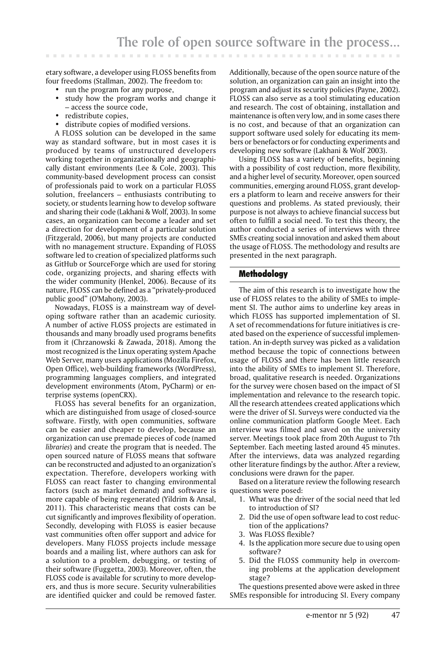etary software, a developer using FLOSS benefits from four freedoms (Stallman, 2002). The freedom to:

- run the program for any purpose,
- study how the program works and change it – access the source code,
- redistribute copies,
- distribute copies of modified versions.

A FLOSS solution can be developed in the same way as standard software, but in most cases it is produced by teams of unstructured developers working together in organizationally and geographically distant environments (Lee & Cole, 2003). This community-based development process can consist of professionals paid to work on a particular FLOSS solution, freelancers – enthusiasts contributing to society, or students learning how to develop software and sharing their code (Lakhani & Wolf, 2003). In some cases, an organization can become a leader and set a direction for development of a particular solution (Fitzgerald, 2006), but many projects are conducted with no management structure. Expanding of FLOSS software led to creation of specialized platforms such as GitHub or SourceForge which are used for storing code, organizing projects, and sharing effects with the wider community (Henkel, 2006). Because of its nature, FLOSS can be defined as a "privately-produced public good" (O'Mahony, 2003).

Nowadays, FLOSS is a mainstream way of developing software rather than an academic curiosity. A number of active FLOSS projects are estimated in thousands and many broadly used programs benefits from it (Chrzanowski & Zawada, 2018). Among the most recognized is the Linux operating system Apache Web Server, many users applications (Mozilla Firefox, Open Office), web-building frameworks (WordPress), programming languages compliers, and integrated development environments (Atom, PyCharm) or enterprise systems (openCRX).

FLOSS has several benefits for an organization, which are distinguished from usage of closed-source software. Firstly, with open communities, software can be easier and cheaper to develop, because an organization can use premade pieces of code (named *libraries*) and create the program that is needed. The open sourced nature of FLOSS means that software can be reconstructed and adjusted to an organization's expectation. Therefore, developers working with FLOSS can react faster to changing environmental factors (such as market demand) and software is more capable of being regenerated (Yildrim & Ansal, 2011). This characteristic means that costs can be cut significantly and improves flexibility of operation. Secondly, developing with FLOSS is easier because vast communities often offer support and advice for developers. Many FLOSS projects include message boards and a mailing list, where authors can ask for a solution to a problem, debugging, or testing of their software (Fuggetta, 2003). Moreover, often, the FLOSS code is available for scrutiny to more developers, and thus is more secure. Security vulnerabilities are identified quicker and could be removed faster.

Additionally, because of the open source nature of the solution, an organization can gain an insight into the program and adjust its security policies (Payne, 2002). FLOSS can also serve as a tool stimulating education and research. The cost of obtaining, installation and maintenance is often very low, and in some cases there is no cost, and because of that an organization can support software used solely for educating its members or benefactors or for conducting experiments and developing new software (Lakhani & Wolf 2003).

Using FLOSS has a variety of benefits, beginning with a possibility of cost reduction, more flexibility, and a higher level of security. Moreover, open sourced communities, emerging around FLOSS, grant developers a platform to learn and receive answers for their questions and problems. As stated previously, their purpose is not always to achieve financial success but often to fulfill a social need. To test this theory, the author conducted a series of interviews with three SMEs creating social innovation and asked them about the usage of FLOSS. The methodology and results are presented in the next paragraph.

# Methodology

The aim of this research is to investigate how the use of FLOSS relates to the ability of SMEs to implement SI. The author aims to underline key areas in which FLOSS has supported implementation of SI. A set of recommendations for future initiatives is created based on the experience of successful implementation. An in-depth survey was picked as a validation method because the topic of connections between usage of FLOSS and there has been little research into the ability of SMEs to implement SI. Therefore, broad, qualitative research is needed. Organizations for the survey were chosen based on the impact of SI implementation and relevance to the research topic. All the research attendees created applications which were the driver of SI. Surveys were conducted via the online communication platform Google Meet. Each interview was filmed and saved on the university server. Meetings took place from 20th August to 7th September. Each meeting lasted around 45 minutes. After the interviews, data was analyzed regarding other literature findings by the author. After a review, conclusions were drawn for the paper.

Based on a literature review the following research questions were posed:

- 1. What was the driver of the social need that led to introduction of SI?
- 2. Did the use of open software lead to cost reduction of the applications?
- 3. Was FLOSS flexible?
- 4. Is the application more secure due to using open software?
- 5. Did the FLOSS community help in overcoming problems at the application development stage?

The questions presented above were asked in three SMEs responsible for introducing SI. Every company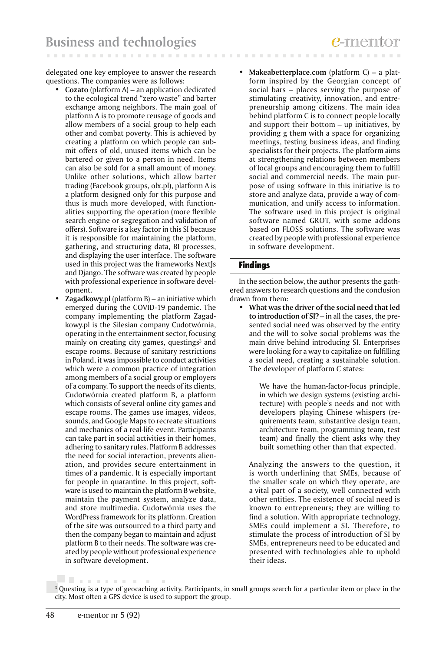delegated one key employee to answer the research questions. The companies were as follows:

- **Cozato** (platform A) an application dedicated to the ecological trend "zero waste" and barter exchange among neighbors. The main goal of platform A is to promote reusage of goods and allow members of a social group to help each other and combat poverty. This is achieved by creating a platform on which people can submit offers of old, unused items which can be bartered or given to a person in need. Items can also be sold for a small amount of money. Unlike other solutions, which allow barter trading (Facebook groups, olx.pl), platform A is a platform designed only for this purpose and thus is much more developed, with functionalities supporting the operation (more flexible search engine or segregation and validation of offers). Software is a key factor in this SI because it is responsible for maintaining the platform, gathering, and structuring data, BI processes, and displaying the user interface. The software used in this project was the frameworks NextJs and Django. The software was created by people with professional experience in software development.
- **Zagadkowy.pl** (platform B) an initiative which emerged during the COVID-19 pandemic. The company implementing the platform Zagadkowy.pl is the Silesian company Cudotwórnia, operating in the entertainment sector, focusing mainly on creating city games, questings<sup>3</sup> and escape rooms. Because of sanitary restrictions in Poland, it was impossible to conduct activities which were a common practice of integration among members of a social group or employers of a company. To support the needs of its clients, Cudotwórnia created platform B, a platform which consists of several online city games and escape rooms. The games use images, videos, sounds, and Google Maps to recreate situations and mechanics of a real-life event. Participants can take part in social activities in their homes, adhering to sanitary rules. Platform B addresses the need for social interaction, prevents alienation, and provides secure entertainment in times of a pandemic. It is especially important for people in quarantine. In this project, software is used to maintain the platform B website, maintain the payment system, analyze data, and store multimedia. Cudotwórnia uses the WordPress framework for its platform. Creation of the site was outsourced to a third party and then the company began to maintain and adjust platform B to their needs. The software was created by people without professional experience in software development.
- **Makeabetterplace.com** (platform C)a platform inspired by the Georgian concept of social bars – places serving the purpose of stimulating creativity, innovation, and entrepreneurship among citizens. The main idea behind platform C is to connect people locally and support their bottom – up initiatives, by providing g them with a space for organizing meetings, testing business ideas, and finding specialists for their projects. The platform aims at strengthening relations between members of local groups and encouraging them to fulfill social and commercial needs. The main purpose of using software in this initiative is to store and analyze data, provide a way of communication, and unify access to information. The software used in this project is original software named GROT, with some addons based on FLOSS solutions. The software was created by people with professional experience in software development.

# Findings

**CONTRACTOR** 

In the section below, the author presents the gathered answers to research questions and the conclusion drawn from them:

• **What was the driver of the social need that led to introduction of SI?** – in all the cases, the presented social need was observed by the entity and the will to solve social problems was the main drive behind introducing SI. Enterprises were looking for a way to capitalize on fulfilling a social need, creating a sustainable solution. The developer of platform C states:

> We have the human-factor-focus principle, in which we design systems (existing architecture) with people's needs and not with developers playing Chinese whispers (requirements team, substantive design team, architecture team, programming team, test team) and finally the client asks why they built something other than that expected.

 Analyzing the answers to the question, it is worth underlining that SMEs, because of the smaller scale on which they operate, are a vital part of a society, well connected with other entities. The existence of social need is known to entrepreneurs; they are willing to find a solution. With appropriate technology, SMEs could implement a SI. Therefore, to stimulate the process of introduction of SI by SMEs, entrepreneurs need to be educated and presented with technologies able to uphold their ideas.

. . . . . . . . . . . .

<sup>3</sup> Questing is a type of geocaching activity. Participants, in small groups search for a particular item or place in the city. Most often a GPS device is used to support the group.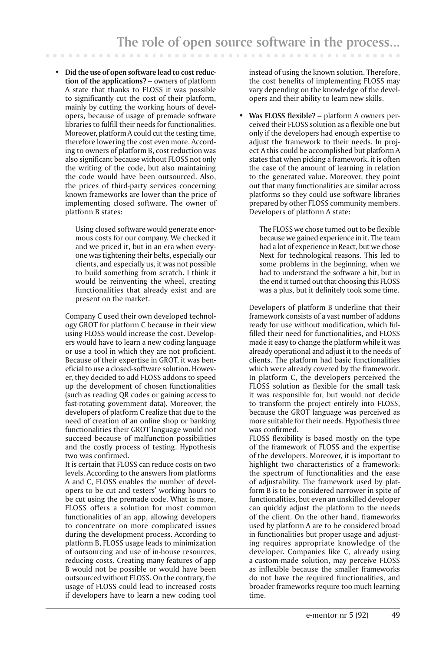• **Did the use of open software lead to cost reduction of the applications?** – owners of platform A state that thanks to FLOSS it was possible to significantly cut the cost of their platform, mainly by cutting the working hours of developers, because of usage of premade software libraries to fulfill their needs for functionalities. Moreover, platform A could cut the testing time, therefore lowering the cost even more. According to owners of platform B, cost reduction was also significant because without FLOSS not only the writing of the code, but also maintaining the code would have been outsourced. Also, the prices of third-party services concerning known frameworks are lower than the price of implementing closed software. The owner of platform B states:

> Using closed software would generate enormous costs for our company. We checked it and we priced it, but in an era when everyone was tightening their belts, especially our clients, and especially us, it was not possible to build something from scratch. I think it would be reinventing the wheel, creating functionalities that already exist and are present on the market.

 Company C used their own developed technology GROT for platform C because in their view using FLOSS would increase the cost. Developers would have to learn a new coding language or use a tool in which they are not proficient. Because of their expertise in GROT, it was beneficial to use a closed-software solution. However, they decided to add FLOSS addons to speed up the development of chosen functionalities (such as reading QR codes or gaining access to fast-rotating government data). Moreover, the developers of platform C realize that due to the need of creation of an online shop or banking functionalities their GROT language would not succeed because of malfunction possibilities and the costly process of testing. Hypothesis two was confirmed.

 It is certain that FLOSS can reduce costs on two levels. According to the answers from platforms A and C, FLOSS enables the number of developers to be cut and testers' working hours to be cut using the premade code. What is more, FLOSS offers a solution for most common functionalities of an app, allowing developers to concentrate on more complicated issues during the development process. According to platform B, FLOSS usage leads to minimization of outsourcing and use of in-house resources, reducing costs. Creating many features of app B would not be possible or would have been outsourced without FLOSS. On the contrary, the usage of FLOSS could lead to increased costs if developers have to learn a new coding tool

instead of using the known solution. Therefore, the cost benefits of implementing FLOSS may vary depending on the knowledge of the developers and their ability to learn new skills.

• **Was FLOSS flexible?** – platform A owners perceived their FLOSS solution as a flexible one but only if the developers had enough expertise to adjust the framework to their needs. In project A this could be accomplished but platform A states that when picking a framework, it is often the case of the amount of learning in relation to the generated value. Moreover, they point out that many functionalities are similar across platforms so they could use software libraries prepared by other FLOSS community members. Developers of platform A state:

> The FLOSS we chose turned out to be flexible because we gained experience in it. The team had a lot of experience in React, but we chose Next for technological reasons. This led to some problems in the beginning, when we had to understand the software a bit, but in the end it turned out that choosing this FLOSS was a plus, but it definitely took some time.

 Developers of platform B underline that their framework consists of a vast number of addons ready for use without modification, which fulfilled their need for functionalities, and FLOSS made it easy to change the platform while it was already operational and adjust it to the needs of clients. The platform had basic functionalities which were already covered by the framework. In platform C, the developers perceived the FLOSS solution as flexible for the small task it was responsible for, but would not decide to transform the project entirely into FLOSS, because the GROT language was perceived as more suitable for their needs. Hypothesis three was confirmed.

 FLOSS flexibility is based mostly on the type of the framework of FLOSS and the expertise of the developers. Moreover, it is important to highlight two characteristics of a framework: the spectrum of functionalities and the ease of adjustability. The framework used by platform B is to be considered narrower in spite of functionalities, but even an unskilled developer can quickly adjust the platform to the needs of the client. On the other hand, frameworks used by platform A are to be considered broad in functionalities but proper usage and adjusting requires appropriate knowledge of the developer. Companies like C, already using a custom-made solution, may perceive FLOSS as inflexible because the smaller frameworks do not have the required functionalities, and broader frameworks require too much learning time.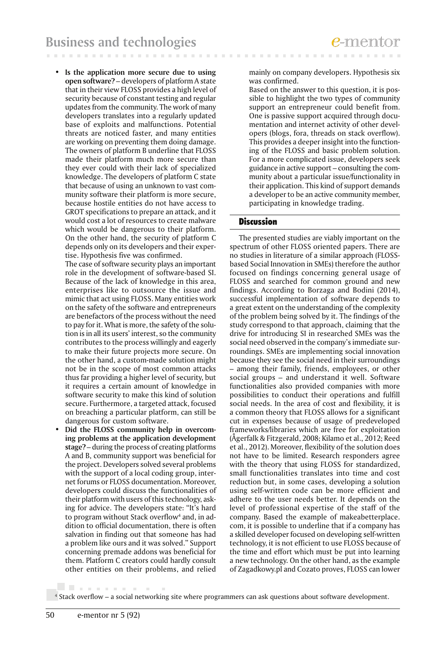• **Is the application more secure due to using open software?** – developers of platform A state that in their view FLOSS provides a high level of security because of constant testing and regular updates from the community. The work of many developers translates into a regularly updated base of exploits and malfunctions. Potential threats are noticed faster, and many entities are working on preventing them doing damage. The owners of platform B underline that FLOSS made their platform much more secure than they ever could with their lack of specialized knowledge. The developers of platform C state that because of using an unknown to vast community software their platform is more secure, because hostile entities do not have access to GROT specifications to prepare an attack, and it would cost a lot of resources to create malware which would be dangerous to their platform. On the other hand, the security of platform C depends only on its developers and their expertise. Hypothesis five was confirmed.

 The case of software security plays an important role in the development of software-based SI. Because of the lack of knowledge in this area, enterprises like to outsource the issue and mimic that act using FLOSS. Many entities work on the safety of the software and entrepreneurs are benefactors of the process without the need to pay for it. What is more, the safety of the solution is in all its users' interest, so the community contributes to the process willingly and eagerly to make their future projects more secure. On the other hand, a custom-made solution might not be in the scope of most common attacks thus far providing a higher level of security, but it requires a certain amount of knowledge in software security to make this kind of solution secure. Furthermore, a targeted attack, focused on breaching a particular platform, can still be dangerous for custom software.

• **Did the FLOSS community help in overcoming problems at the application development stage?** – during the process of creating platforms A and B, community support was beneficial for the project. Developers solved several problems with the support of a local coding group, internet forums or FLOSS documentation. Moreover, developers could discuss the functionalities of their platform with users of this technology, asking for advice. The developers state: "It's hard to program without Stack overflow<sup>4</sup> and, in addition to official documentation, there is often salvation in finding out that someone has had a problem like ours and it was solved." Support concerning premade addons was beneficial for them. Platform C creators could hardly consult other entities on their problems, and relied

mainly on company developers. Hypothesis six was confirmed.

 Based on the answer to this question, it is possible to highlight the two types of community support an entrepreneur could benefit from. One is passive support acquired through documentation and internet activity of other developers (blogs, fora, threads on stack overflow). This provides a deeper insight into the functioning of the FLOSS and basic problem solution. For a more complicated issue, developers seek guidance in active support – consulting the community about a particular issue/functionality in their application. This kind of support demands a developer to be an active community member, participating in knowledge trading.

# Discussion

*<u>P.O. B. A. B. A. B.</u>* 

The presented studies are viably important on the spectrum of other FLOSS oriented papers. There are no studies in literature of a similar approach (FLOSSbased Social Innovation in SMEs) therefore the author focused on findings concerning general usage of FLOSS and searched for common ground and new findings. According to Borzaga and Bodini (2014), successful implementation of software depends to a great extent on the understanding of the complexity of the problem being solved by it. The findings of the study correspond to that approach, claiming that the drive for introducing SI in researched SMEs was the social need observed in the company's immediate surroundings. SMEs are implementing social innovation because they see the social need in their surroundings – among their family, friends, employees, or other social groups – and understand it well. Software functionalities also provided companies with more possibilities to conduct their operations and fulfill social needs. In the area of cost and flexibility, it is a common theory that FLOSS allows for a significant cut in expenses because of usage of predeveloped frameworks/libraries which are free for exploitation (Ågerfalk & Fitzgerald, 2008; Kilamo et al., 2012; Reed et al., 2012). Moreover, flexibility of the solution does not have to be limited. Research responders agree with the theory that using FLOSS for standardized, small functionalities translates into time and cost reduction but, in some cases, developing a solution using self-written code can be more efficient and adhere to the user needs better. It depends on the level of professional expertise of the staff of the company. Based the example of makeabetterplace. com, it is possible to underline that if a company has a skilled developer focused on developing self-written technology, it is not efficient to use FLOSS because of the time and effort which must be put into learning a new technology. On the other hand, as the example of Zagadkowy.pl and Cozato proves, FLOSS can lower

4 Stack overflow – a social networking site where programmers can ask questions about software development.

. . . . . . . . . .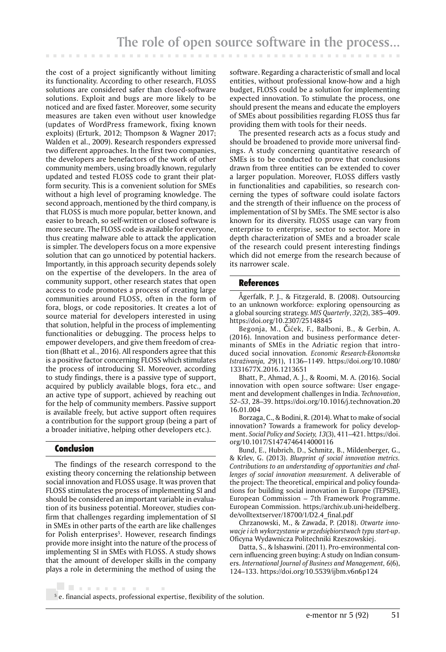the cost of a project significantly without limiting its functionality. According to other research, FLOSS solutions are considered safer than closed-software solutions. Exploit and bugs are more likely to be noticed and are fixed faster. Moreover, some security measures are taken even without user knowledge (updates of WordPress framework, fixing known exploits) (Erturk, 2012; Thompson & Wagner 2017; Walden et al., 2009). Research responders expressed two different approaches. In the first two companies, the developers are benefactors of the work of other community members, using broadly known, regularly updated and tested FLOSS code to grant their platform security. This is a convenient solution for SMEs without a high level of programing knowledge. The second approach, mentioned by the third company, is that FLOSS is much more popular, better known, and easier to breach, so self-written or closed software is more secure. The FLOSS code is available for everyone, thus creating malware able to attack the application is simpler. The developers focus on a more expensive solution that can go unnoticed by potential hackers. Importantly, in this approach security depends solely on the expertise of the developers. In the area of community support, other research states that open access to code promotes a process of creating large communities around FLOSS, often in the form of fora, blogs, or code repositories. It creates a lot of source material for developers interested in using that solution, helpful in the process of implementing functionalities or debugging. The process helps to empower developers, and give them freedom of creation (Bhatt et al., 2016). All responders agree that this is a positive factor concerning FLOSS which stimulates the process of introducing SI. Moreover, according to study findings, there is a passive type of support, acquired by publicly available blogs, fora etc., and an active type of support, achieved by reaching out for the help of community members. Passive support is available freely, but active support often requires a contribution for the support group (being a part of a broader initiative, helping other developers etc.).

# Conclusion

The findings of the research correspond to the existing theory concerning the relationship between social innovation and FLOSS usage. It was proven that FLOSS stimulates the process of implementing SI and should be considered an important variable in evaluation of its business potential. Moreover, studies confirm that challenges regarding implementation of SI in SMEs in other parts of the earth are like challenges for Polish enterprises<sup>5</sup>. However, research findings provide more insight into the nature of the process of implementing SI in SMEs with FLOSS. A study shows that the amount of developer skills in the company plays a role in determining the method of using the

. . . . . . . . . .

software. Regarding a characteristic of small and local entities, without professional know-how and a high budget, FLOSS could be a solution for implementing expected innovation. To stimulate the process, one should present the means and educate the employers of SMEs about possibilities regarding FLOSS thus far providing them with tools for their needs.

The presented research acts as a focus study and should be broadened to provide more universal findings. A study concerning quantitative research of SMEs is to be conducted to prove that conclusions drawn from three entities can be extended to cover a larger population. Moreover, FLOSS differs vastly in functionalities and capabilities, so research concerning the types of software could isolate factors and the strength of their influence on the process of implementation of SI by SMEs. The SME sector is also known for its diversity. FLOSS usage can vary from enterprise to enterprise, sector to sector. More in depth characterization of SMEs and a broader scale of the research could present interesting findings which did not emerge from the research because of its narrower scale.

#### References

Ågerfalk, P. J., & Fitzgerald, B. (2008). Outsourcing to an unknown workforce: exploring opensourcing as a global sourcing strategy. *MIS Quarterly*, *32*(2), 385–409. https://doi.org/10.2307/25148845

Begonja, M., Čićek, F., Balboni, B., & Gerbin, A. (2016). Innovation and business performance determinants of SMEs in the Adriatic region that introduced social innovation*. Economic Research-Ekonomska Istraživanja, 29*(1), 1136–1149. https://doi.org/10.1080/ 1331677X.2016.1213651

Bhatt, P., Ahmad, A. J., & Roomi, M. A. (2016). Social innovation with open source software: User engagement and development challenges in India. *Technovation*, *52–53*, 28–39. https://doi.org/10.1016/j.technovation.20 16.01.004

Borzaga, C., & Bodini, R. (2014). What to make of social innovation? Towards a framework for policy development. *Social Policy and Society, 13*(3), 411–421. https://doi. org/10.1017/S1474746414000116

Bund, E., Hubrich, D., Schmitz, B., Mildenberger, G., & Krlev, G. (2013). *Blueprint of social innovation metrics. Contributions to an understanding of opportunities and challenges of social innovation measurement.* A deliverable of the project: The theoretical, empirical and policy foundations for building social innovation in Europe (TEPSIE), European Commission – 7th Framework Programme. European Commission. https://archiv.ub.uni-heidelberg. de/volltextserver/18700/1/D2.4\_final.pdf

Chrzanowski, M., & Zawada, P. (2018). *Otwarte innowacje i ich wykorzystanie w przedsiębiorstwach typu start-up*. Oficyna Wydawnicza Politechniki Rzeszowskiej.

Datta, S., & Ishaswini. (2011). Pro-environmental concern influencing green buying: A study on Indian consumers. *International Journal of Business and Management, 6*(6), 124–133. https://doi.org/10.5539/ijbm.v6n6p124

5 e. financial aspects, professional expertise, flexibility of the solution.